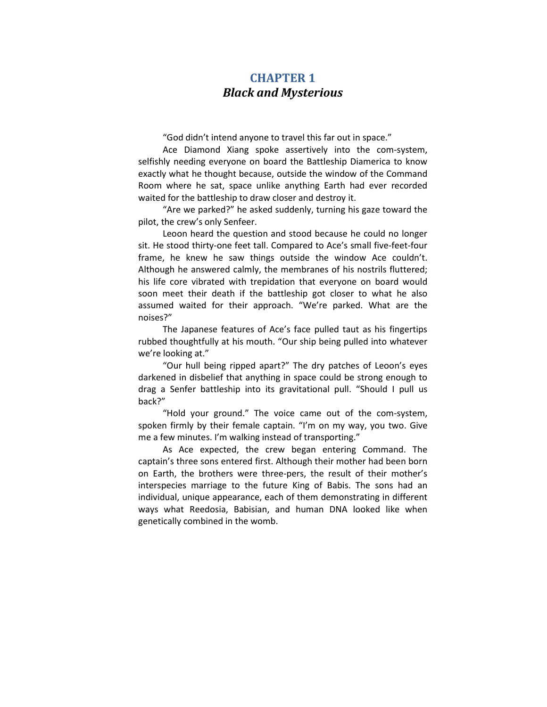## CHAPTER 1 Black and Mysterious

"God didn't intend anyone to travel this far out in space."

Ace Diamond Xiang spoke assertively into the com-system, selfishly needing everyone on board the Battleship Diamerica to know exactly what he thought because, outside the window of the Command Room where he sat, space unlike anything Earth had ever recorded waited for the battleship to draw closer and destroy it.

"Are we parked?" he asked suddenly, turning his gaze toward the pilot, the crew's only Senfeer.

Leoon heard the question and stood because he could no longer sit. He stood thirty-one feet tall. Compared to Ace's small five-feet-four frame, he knew he saw things outside the window Ace couldn't. Although he answered calmly, the membranes of his nostrils fluttered; his life core vibrated with trepidation that everyone on board would soon meet their death if the battleship got closer to what he also assumed waited for their approach. "We're parked. What are the noises?"

The Japanese features of Ace's face pulled taut as his fingertips rubbed thoughtfully at his mouth. "Our ship being pulled into whatever we're looking at."

"Our hull being ripped apart?" The dry patches of Leoon's eyes darkened in disbelief that anything in space could be strong enough to drag a Senfer battleship into its gravitational pull. "Should I pull us back?"

"Hold your ground." The voice came out of the com-system, spoken firmly by their female captain. "I'm on my way, you two. Give me a few minutes. I'm walking instead of transporting."

As Ace expected, the crew began entering Command. The captain's three sons entered first. Although their mother had been born on Earth, the brothers were three-pers, the result of their mother's interspecies marriage to the future King of Babis. The sons had an individual, unique appearance, each of them demonstrating in different ways what Reedosia, Babisian, and human DNA looked like when genetically combined in the womb.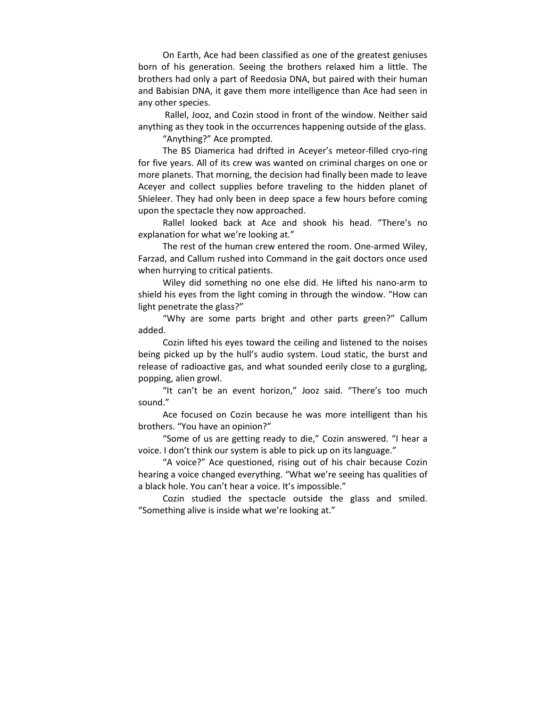On Earth, Ace had been classified as one of the greatest geniuses born of his generation. Seeing the brothers relaxed him a little. The brothers had only a part of Reedosia DNA, but paired with their human and Babisian DNA, it gave them more intelligence than Ace had seen in any other species.

 Rallel, Jooz, and Cozin stood in front of the window. Neither said anything as they took in the occurrences happening outside of the glass.

"Anything?" Ace prompted.

The BS Diamerica had drifted in Aceyer's meteor-filled cryo-ring for five years. All of its crew was wanted on criminal charges on one or more planets. That morning, the decision had finally been made to leave Aceyer and collect supplies before traveling to the hidden planet of Shieleer. They had only been in deep space a few hours before coming upon the spectacle they now approached.

Rallel looked back at Ace and shook his head. "There's no explanation for what we're looking at."

The rest of the human crew entered the room. One-armed Wiley, Farzad, and Callum rushed into Command in the gait doctors once used when hurrying to critical patients.

Wiley did something no one else did. He lifted his nano-arm to shield his eyes from the light coming in through the window. "How can light penetrate the glass?"

"Why are some parts bright and other parts green?" Callum added.

Cozin lifted his eyes toward the ceiling and listened to the noises being picked up by the hull's audio system. Loud static, the burst and release of radioactive gas, and what sounded eerily close to a gurgling, popping, alien growl.

"It can't be an event horizon," Jooz said. "There's too much sound."

Ace focused on Cozin because he was more intelligent than his brothers. "You have an opinion?"

"Some of us are getting ready to die," Cozin answered. "I hear a voice. I don't think our system is able to pick up on its language."

"A voice?" Ace questioned, rising out of his chair because Cozin hearing a voice changed everything. "What we're seeing has qualities of a black hole. You can't hear a voice. It's impossible."

Cozin studied the spectacle outside the glass and smiled. "Something alive is inside what we're looking at."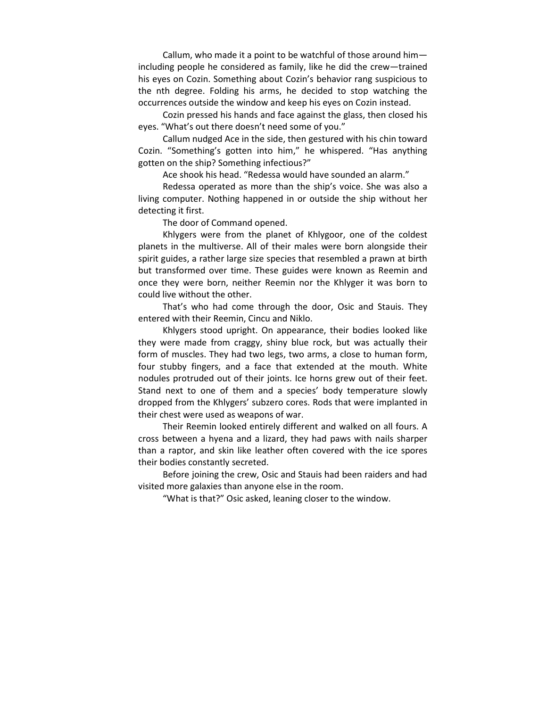Callum, who made it a point to be watchful of those around him including people he considered as family, like he did the crew—trained his eyes on Cozin. Something about Cozin's behavior rang suspicious to the nth degree. Folding his arms, he decided to stop watching the occurrences outside the window and keep his eyes on Cozin instead.

Cozin pressed his hands and face against the glass, then closed his eyes. "What's out there doesn't need some of you."

Callum nudged Ace in the side, then gestured with his chin toward Cozin. "Something's gotten into him," he whispered. "Has anything gotten on the ship? Something infectious?"

Ace shook his head. "Redessa would have sounded an alarm."

Redessa operated as more than the ship's voice. She was also a living computer. Nothing happened in or outside the ship without her detecting it first.

The door of Command opened.

Khlygers were from the planet of Khlygoor, one of the coldest planets in the multiverse. All of their males were born alongside their spirit guides, a rather large size species that resembled a prawn at birth but transformed over time. These guides were known as Reemin and once they were born, neither Reemin nor the Khlyger it was born to could live without the other.

That's who had come through the door, Osic and Stauis. They entered with their Reemin, Cincu and Niklo.

Khlygers stood upright. On appearance, their bodies looked like they were made from craggy, shiny blue rock, but was actually their form of muscles. They had two legs, two arms, a close to human form, four stubby fingers, and a face that extended at the mouth. White nodules protruded out of their joints. Ice horns grew out of their feet. Stand next to one of them and a species' body temperature slowly dropped from the Khlygers' subzero cores. Rods that were implanted in their chest were used as weapons of war.

Their Reemin looked entirely different and walked on all fours. A cross between a hyena and a lizard, they had paws with nails sharper than a raptor, and skin like leather often covered with the ice spores their bodies constantly secreted.

Before joining the crew, Osic and Stauis had been raiders and had visited more galaxies than anyone else in the room.

"What is that?" Osic asked, leaning closer to the window.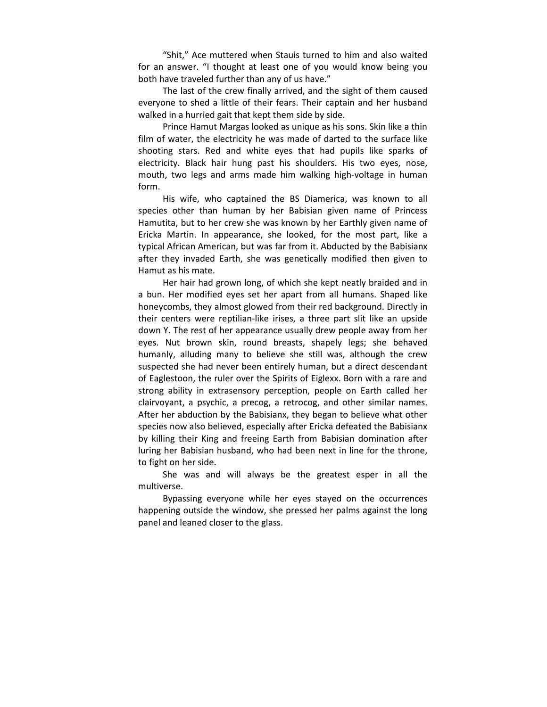"Shit," Ace muttered when Stauis turned to him and also waited for an answer. "I thought at least one of you would know being you both have traveled further than any of us have."

The last of the crew finally arrived, and the sight of them caused everyone to shed a little of their fears. Their captain and her husband walked in a hurried gait that kept them side by side.

Prince Hamut Margas looked as unique as his sons. Skin like a thin film of water, the electricity he was made of darted to the surface like shooting stars. Red and white eyes that had pupils like sparks of electricity. Black hair hung past his shoulders. His two eyes, nose, mouth, two legs and arms made him walking high-voltage in human form.

His wife, who captained the BS Diamerica, was known to all species other than human by her Babisian given name of Princess Hamutita, but to her crew she was known by her Earthly given name of Ericka Martin. In appearance, she looked, for the most part, like a typical African American, but was far from it. Abducted by the Babisianx after they invaded Earth, she was genetically modified then given to Hamut as his mate.

Her hair had grown long, of which she kept neatly braided and in a bun. Her modified eyes set her apart from all humans. Shaped like honeycombs, they almost glowed from their red background. Directly in their centers were reptilian-like irises, a three part slit like an upside down Y. The rest of her appearance usually drew people away from her eyes. Nut brown skin, round breasts, shapely legs; she behaved humanly, alluding many to believe she still was, although the crew suspected she had never been entirely human, but a direct descendant of Eaglestoon, the ruler over the Spirits of Eiglexx. Born with a rare and strong ability in extrasensory perception, people on Earth called her clairvoyant, a psychic, a precog, a retrocog, and other similar names. After her abduction by the Babisianx, they began to believe what other species now also believed, especially after Ericka defeated the Babisianx by killing their King and freeing Earth from Babisian domination after luring her Babisian husband, who had been next in line for the throne, to fight on her side.

She was and will always be the greatest esper in all the multiverse.

Bypassing everyone while her eyes stayed on the occurrences happening outside the window, she pressed her palms against the long panel and leaned closer to the glass.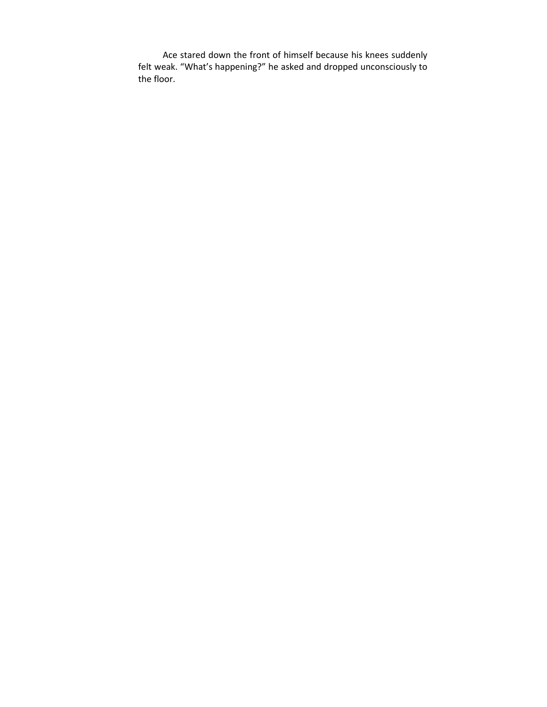Ace stared down the front of himself because his knees suddenly felt weak. "What's happening?" he asked and dropped unconsciously to the floor.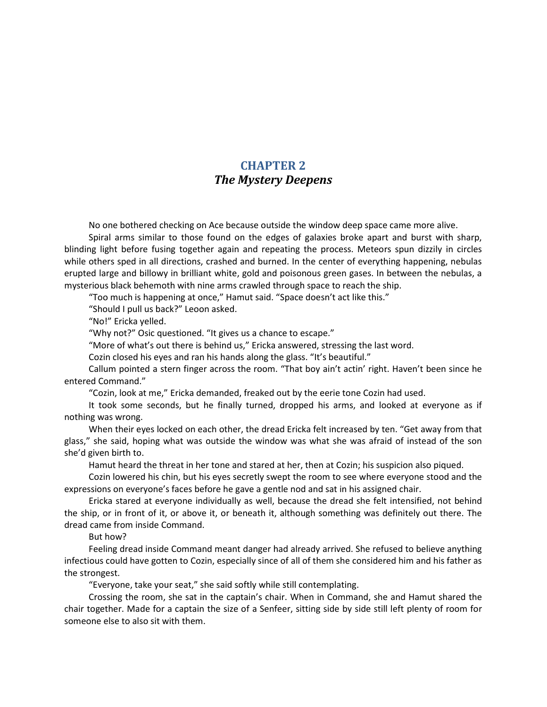## CHAPTER 2 The Mystery Deepens

No one bothered checking on Ace because outside the window deep space came more alive.

Spiral arms similar to those found on the edges of galaxies broke apart and burst with sharp, blinding light before fusing together again and repeating the process. Meteors spun dizzily in circles while others sped in all directions, crashed and burned. In the center of everything happening, nebulas erupted large and billowy in brilliant white, gold and poisonous green gases. In between the nebulas, a mysterious black behemoth with nine arms crawled through space to reach the ship.

"Too much is happening at once," Hamut said. "Space doesn't act like this."

"Should I pull us back?" Leoon asked.

"No!" Ericka yelled.

"Why not?" Osic questioned. "It gives us a chance to escape."

"More of what's out there is behind us," Ericka answered, stressing the last word.

Cozin closed his eyes and ran his hands along the glass. "It's beautiful."

Callum pointed a stern finger across the room. "That boy ain't actin' right. Haven't been since he entered Command."

"Cozin, look at me," Ericka demanded, freaked out by the eerie tone Cozin had used.

It took some seconds, but he finally turned, dropped his arms, and looked at everyone as if nothing was wrong.

When their eyes locked on each other, the dread Ericka felt increased by ten. "Get away from that glass," she said, hoping what was outside the window was what she was afraid of instead of the son she'd given birth to.

Hamut heard the threat in her tone and stared at her, then at Cozin; his suspicion also piqued.

Cozin lowered his chin, but his eyes secretly swept the room to see where everyone stood and the expressions on everyone's faces before he gave a gentle nod and sat in his assigned chair.

Ericka stared at everyone individually as well, because the dread she felt intensified, not behind the ship, or in front of it, or above it, or beneath it, although something was definitely out there. The dread came from inside Command.

But how?

Feeling dread inside Command meant danger had already arrived. She refused to believe anything infectious could have gotten to Cozin, especially since of all of them she considered him and his father as the strongest.

"Everyone, take your seat," she said softly while still contemplating.

Crossing the room, she sat in the captain's chair. When in Command, she and Hamut shared the chair together. Made for a captain the size of a Senfeer, sitting side by side still left plenty of room for someone else to also sit with them.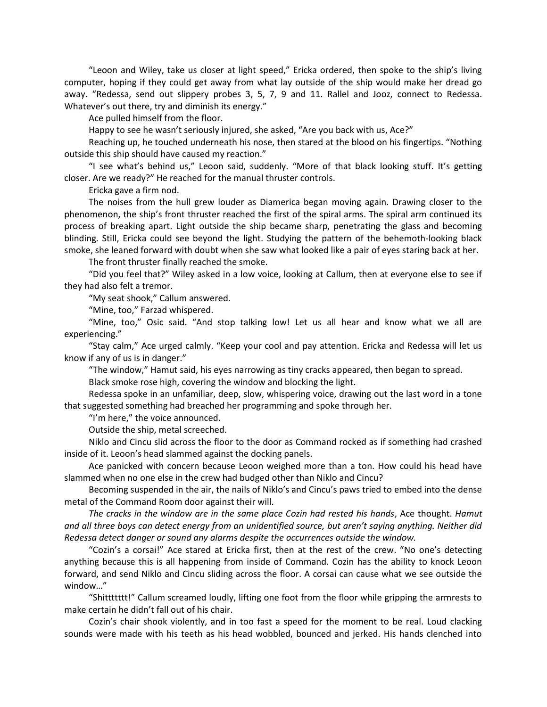"Leoon and Wiley, take us closer at light speed," Ericka ordered, then spoke to the ship's living computer, hoping if they could get away from what lay outside of the ship would make her dread go away. "Redessa, send out slippery probes 3, 5, 7, 9 and 11. Rallel and Jooz, connect to Redessa. Whatever's out there, try and diminish its energy."

Ace pulled himself from the floor.

Happy to see he wasn't seriously injured, she asked, "Are you back with us, Ace?"

Reaching up, he touched underneath his nose, then stared at the blood on his fingertips. "Nothing outside this ship should have caused my reaction."

"I see what's behind us," Leoon said, suddenly. "More of that black looking stuff. It's getting closer. Are we ready?" He reached for the manual thruster controls.

Ericka gave a firm nod.

The noises from the hull grew louder as Diamerica began moving again. Drawing closer to the phenomenon, the ship's front thruster reached the first of the spiral arms. The spiral arm continued its process of breaking apart. Light outside the ship became sharp, penetrating the glass and becoming blinding. Still, Ericka could see beyond the light. Studying the pattern of the behemoth-looking black smoke, she leaned forward with doubt when she saw what looked like a pair of eyes staring back at her.

The front thruster finally reached the smoke.

"Did you feel that?" Wiley asked in a low voice, looking at Callum, then at everyone else to see if they had also felt a tremor.

"My seat shook," Callum answered.

"Mine, too," Farzad whispered.

"Mine, too," Osic said. "And stop talking low! Let us all hear and know what we all are experiencing."

"Stay calm," Ace urged calmly. "Keep your cool and pay attention. Ericka and Redessa will let us know if any of us is in danger."

"The window," Hamut said, his eyes narrowing as tiny cracks appeared, then began to spread.

Black smoke rose high, covering the window and blocking the light.

Redessa spoke in an unfamiliar, deep, slow, whispering voice, drawing out the last word in a tone that suggested something had breached her programming and spoke through her.

"I'm here," the voice announced.

Outside the ship, metal screeched.

Niklo and Cincu slid across the floor to the door as Command rocked as if something had crashed inside of it. Leoon's head slammed against the docking panels.

Ace panicked with concern because Leoon weighed more than a ton. How could his head have slammed when no one else in the crew had budged other than Niklo and Cincu?

Becoming suspended in the air, the nails of Niklo's and Cincu's paws tried to embed into the dense metal of the Command Room door against their will.

The cracks in the window are in the same place Cozin had rested his hands, Ace thought. Hamut and all three boys can detect energy from an unidentified source, but aren't saying anything. Neither did Redessa detect danger or sound any alarms despite the occurrences outside the window.

"Cozin's a corsai!" Ace stared at Ericka first, then at the rest of the crew. "No one's detecting anything because this is all happening from inside of Command. Cozin has the ability to knock Leoon forward, and send Niklo and Cincu sliding across the floor. A corsai can cause what we see outside the window…"

"Shittttttt!" Callum screamed loudly, lifting one foot from the floor while gripping the armrests to make certain he didn't fall out of his chair.

Cozin's chair shook violently, and in too fast a speed for the moment to be real. Loud clacking sounds were made with his teeth as his head wobbled, bounced and jerked. His hands clenched into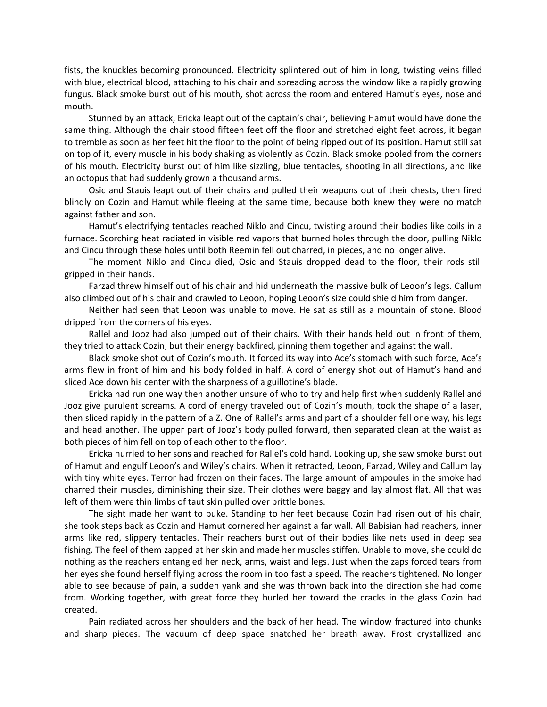fists, the knuckles becoming pronounced. Electricity splintered out of him in long, twisting veins filled with blue, electrical blood, attaching to his chair and spreading across the window like a rapidly growing fungus. Black smoke burst out of his mouth, shot across the room and entered Hamut's eyes, nose and mouth.

Stunned by an attack, Ericka leapt out of the captain's chair, believing Hamut would have done the same thing. Although the chair stood fifteen feet off the floor and stretched eight feet across, it began to tremble as soon as her feet hit the floor to the point of being ripped out of its position. Hamut still sat on top of it, every muscle in his body shaking as violently as Cozin. Black smoke pooled from the corners of his mouth. Electricity burst out of him like sizzling, blue tentacles, shooting in all directions, and like an octopus that had suddenly grown a thousand arms.

Osic and Stauis leapt out of their chairs and pulled their weapons out of their chests, then fired blindly on Cozin and Hamut while fleeing at the same time, because both knew they were no match against father and son.

Hamut's electrifying tentacles reached Niklo and Cincu, twisting around their bodies like coils in a furnace. Scorching heat radiated in visible red vapors that burned holes through the door, pulling Niklo and Cincu through these holes until both Reemin fell out charred, in pieces, and no longer alive.

The moment Niklo and Cincu died, Osic and Stauis dropped dead to the floor, their rods still gripped in their hands.

Farzad threw himself out of his chair and hid underneath the massive bulk of Leoon's legs. Callum also climbed out of his chair and crawled to Leoon, hoping Leoon's size could shield him from danger.

Neither had seen that Leoon was unable to move. He sat as still as a mountain of stone. Blood dripped from the corners of his eyes.

Rallel and Jooz had also jumped out of their chairs. With their hands held out in front of them, they tried to attack Cozin, but their energy backfired, pinning them together and against the wall.

Black smoke shot out of Cozin's mouth. It forced its way into Ace's stomach with such force, Ace's arms flew in front of him and his body folded in half. A cord of energy shot out of Hamut's hand and sliced Ace down his center with the sharpness of a guillotine's blade.

Ericka had run one way then another unsure of who to try and help first when suddenly Rallel and Jooz give purulent screams. A cord of energy traveled out of Cozin's mouth, took the shape of a laser, then sliced rapidly in the pattern of a Z. One of Rallel's arms and part of a shoulder fell one way, his legs and head another. The upper part of Jooz's body pulled forward, then separated clean at the waist as both pieces of him fell on top of each other to the floor.

Ericka hurried to her sons and reached for Rallel's cold hand. Looking up, she saw smoke burst out of Hamut and engulf Leoon's and Wiley's chairs. When it retracted, Leoon, Farzad, Wiley and Callum lay with tiny white eyes. Terror had frozen on their faces. The large amount of ampoules in the smoke had charred their muscles, diminishing their size. Their clothes were baggy and lay almost flat. All that was left of them were thin limbs of taut skin pulled over brittle bones.

The sight made her want to puke. Standing to her feet because Cozin had risen out of his chair, she took steps back as Cozin and Hamut cornered her against a far wall. All Babisian had reachers, inner arms like red, slippery tentacles. Their reachers burst out of their bodies like nets used in deep sea fishing. The feel of them zapped at her skin and made her muscles stiffen. Unable to move, she could do nothing as the reachers entangled her neck, arms, waist and legs. Just when the zaps forced tears from her eyes she found herself flying across the room in too fast a speed. The reachers tightened. No longer able to see because of pain, a sudden yank and she was thrown back into the direction she had come from. Working together, with great force they hurled her toward the cracks in the glass Cozin had created.

Pain radiated across her shoulders and the back of her head. The window fractured into chunks and sharp pieces. The vacuum of deep space snatched her breath away. Frost crystallized and